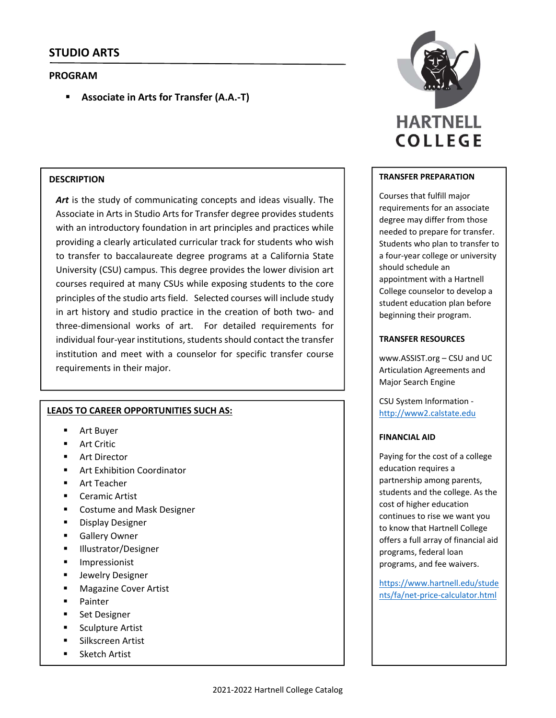## **PROGRAM**

**Associate in Arts for Transfer (A.A.‐T)**

## **DESCRIPTION**

Art is the study of communicating concepts and ideas visually. The Associate in Arts in Studio Arts for Transfer degree provides students with an introductory foundation in art principles and practices while providing a clearly articulated curricular track for students who wish to transfer to baccalaureate degree programs at a California State University (CSU) campus. This degree provides the lower division art courses required at many CSUs while exposing students to the core principles of the studio arts field. Selected courses will include study in art history and studio practice in the creation of both two‐ and three‐dimensional works of art. For detailed requirements for individual four-year institutions, students should contact the transfer institution and meet with a counselor for specific transfer course requirements in their major.

#### **LEADS TO CAREER OPPORTUNITIES SUCH AS:**

- Art Buyer
- Art Critic
- Art Director
- Art Exhibition Coordinator
- **Art Teacher**
- Ceramic Artist
- **EXECO** Costume and Mask Designer
- **-** Display Designer
- **Gallery Owner**
- **Illustrator/Designer**
- **Impressionist**
- **Jewelry Designer**
- **Magazine Cover Artist**
- Painter
- **Set Designer**
- Sculpture Artist
- Silkscreen Artist
- Sketch Artist



#### **TRANSFER PREPARATION**

Courses that fulfill major requirements for an associate degree may differ from those needed to prepare for transfer. Students who plan to transfer to a four‐year college or university should schedule an appointment with a Hartnell College counselor to develop a student education plan before beginning their program.

## **TRANSFER RESOURCES**

www.ASSIST.org – CSU and UC Articulation Agreements and Major Search Engine

CSU System Information ‐ http://www2.calstate.edu

#### **FINANCIAL AID**

Paying for the cost of a college education requires a partnership among parents, students and the college. As the cost of higher education continues to rise we want you to know that Hartnell College offers a full array of financial aid programs, federal loan programs, and fee waivers.

https://www.hartnell.edu/stude nts/fa/net‐price‐calculator.html